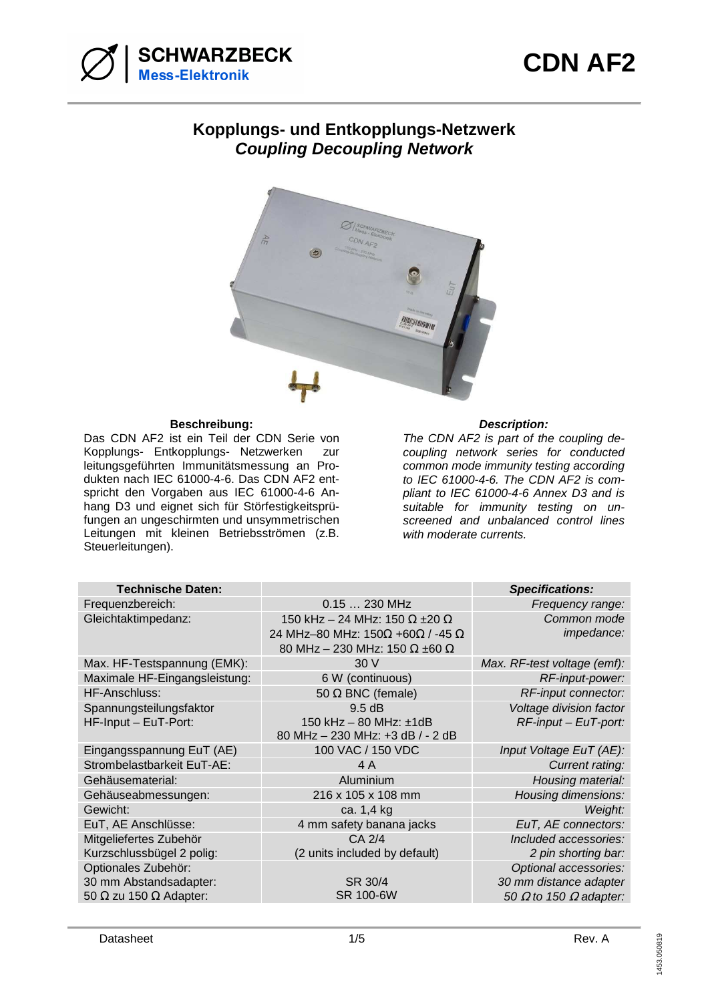



# **Kopplungs- und Entkopplungs-Netzwerk Coupling Decoupling Network**



#### **Beschreibung: Description:**

Das CDN AF2 ist ein Teil der CDN Serie von Kopplungs- Entkopplungs- Netzwerken zur leitungsgeführten Immunitätsmessung an Produkten nach IEC 61000-4-6. Das CDN AF2 entspricht den Vorgaben aus IEC 61000-4-6 Anhang D3 und eignet sich für Störfestigkeitsprüfungen an ungeschirmten und unsymmetrischen Leitungen mit kleinen Betriebsströmen (z.B. Steuerleitungen).

The CDN AF2 is part of the coupling decoupling network series for conducted common mode immunity testing according to IEC 61000-4-6. The CDN AF2 is compliant to IEC 61000-4-6 Annex D3 and is suitable for immunity testing on unscreened and unbalanced control lines with moderate currents.

|                                             | <b>Specifications:</b>                                                                                                                                                |
|---------------------------------------------|-----------------------------------------------------------------------------------------------------------------------------------------------------------------------|
| 0.15  230 MHz                               | Frequency range:                                                                                                                                                      |
| 150 kHz - 24 MHz: 150 $\Omega$ ±20 $\Omega$ | Common mode                                                                                                                                                           |
|                                             | impedance:                                                                                                                                                            |
|                                             |                                                                                                                                                                       |
|                                             | Max. RF-test voltage (emf):                                                                                                                                           |
|                                             | RF-input-power:                                                                                                                                                       |
| 50 $\Omega$ BNC (female)                    | RF-input connector:                                                                                                                                                   |
| 9.5 dB                                      | Voltage division factor                                                                                                                                               |
| 150 kHz $-$ 80 MHz: $\pm$ 1dB               | $RF$ -input – EuT-port:                                                                                                                                               |
|                                             |                                                                                                                                                                       |
| 100 VAC / 150 VDC                           | Input Voltage EuT (AE):                                                                                                                                               |
| 4 A                                         | Current rating:                                                                                                                                                       |
| Aluminium                                   | Housing material:                                                                                                                                                     |
| 216 x 105 x 108 mm                          | Housing dimensions:                                                                                                                                                   |
| ca. 1,4 kg                                  | Weight:                                                                                                                                                               |
| 4 mm safety banana jacks                    | EuT, AE connectors:                                                                                                                                                   |
| CA 2/4                                      | Included accessories:                                                                                                                                                 |
| (2 units included by default)               | 2 pin shorting bar:                                                                                                                                                   |
|                                             | Optional accessories:                                                                                                                                                 |
| SR 30/4                                     | 30 mm distance adapter                                                                                                                                                |
| SR 100-6W                                   | 50 $\Omega$ to 150 $\Omega$ adapter:                                                                                                                                  |
|                                             | 24 MHz-80 MHz: $150\Omega$ +60 $\Omega$ / -45 $\Omega$<br>80 MHz - 230 MHz: 150 $\Omega$ ±60 $\Omega$<br>30 V<br>6 W (continuous)<br>80 MHz - 230 MHz: +3 dB / - 2 dB |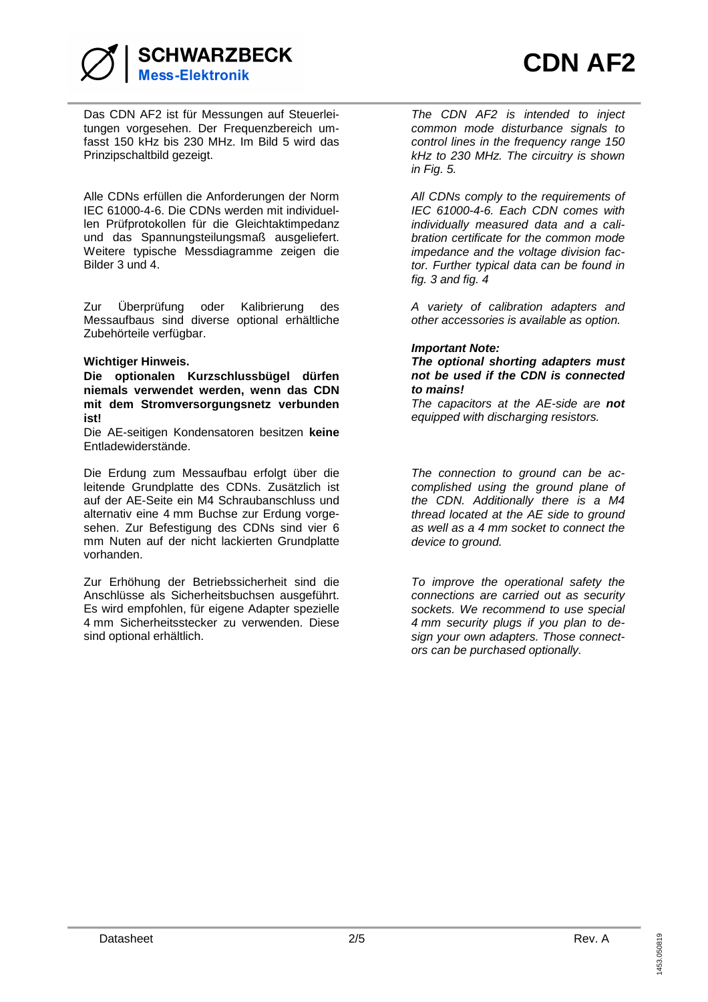

**SCHWARZBECK Mess-Elektronik** 

Das CDN AF2 ist für Messungen auf Steuerleitungen vorgesehen. Der Frequenzbereich umfasst 150 kHz bis 230 MHz. Im Bild 5 wird das Prinzipschaltbild gezeigt.

Alle CDNs erfüllen die Anforderungen der Norm IEC 61000-4-6. Die CDNs werden mit individuellen Prüfprotokollen für die Gleichtaktimpedanz und das Spannungsteilungsmaß ausgeliefert. Weitere typische Messdiagramme zeigen die Bilder 3 und 4.

Zur Überprüfung oder Kalibrierung des Messaufbaus sind diverse optional erhältliche Zubehörteile verfügbar.

## **Wichtiger Hinweis.**

**Die optionalen Kurzschlussbügel dürfen niemals verwendet werden, wenn das CDN mit dem Stromversorgungsnetz verbunden ist!** 

Die AE-seitigen Kondensatoren besitzen **keine**  Entladewiderstände.

Die Erdung zum Messaufbau erfolgt über die leitende Grundplatte des CDNs. Zusätzlich ist auf der AE-Seite ein M4 Schraubanschluss und alternativ eine 4 mm Buchse zur Erdung vorgesehen. Zur Befestigung des CDNs sind vier 6 mm Nuten auf der nicht lackierten Grundplatte vorhanden.

Zur Erhöhung der Betriebssicherheit sind die Anschlüsse als Sicherheitsbuchsen ausgeführt. Es wird empfohlen, für eigene Adapter spezielle 4 mm Sicherheitsstecker zu verwenden. Diese sind optional erhältlich.

The CDN AF2 is intended to inject common mode disturbance signals to control lines in the frequency range 150 kHz to 230 MHz. The circuitry is shown in Fig. 5.

All CDNs comply to the requirements of IEC 61000-4-6. Each CDN comes with individually measured data and a calibration certificate for the common mode impedance and the voltage division factor. Further typical data can be found in fig. 3 and fig. 4

A variety of calibration adapters and other accessories is available as option.

#### **Important Note:**

### **The optional shorting adapters must not be used if the CDN is connected to mains!**

The capacitors at the AE-side are **not** equipped with discharging resistors.

The connection to ground can be accomplished using the ground plane of the CDN. Additionally there is a M4 thread located at the AE side to ground as well as a 4 mm socket to connect the device to ground.

To improve the operational safety the connections are carried out as security sockets. We recommend to use special 4 mm security plugs if you plan to design your own adapters. Those connectors can be purchased optionally.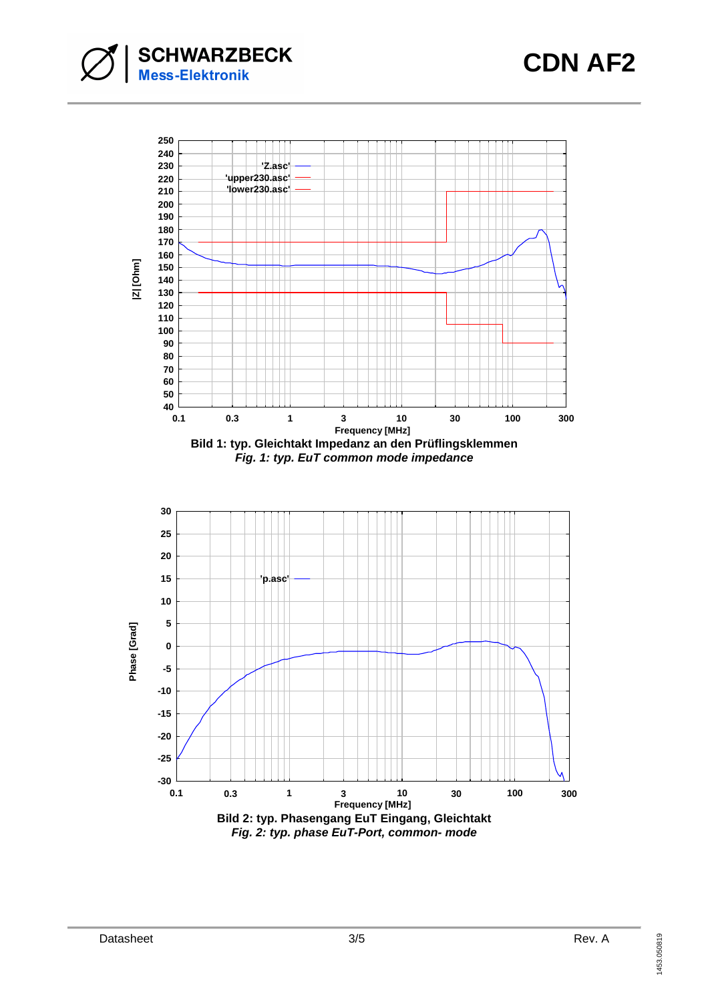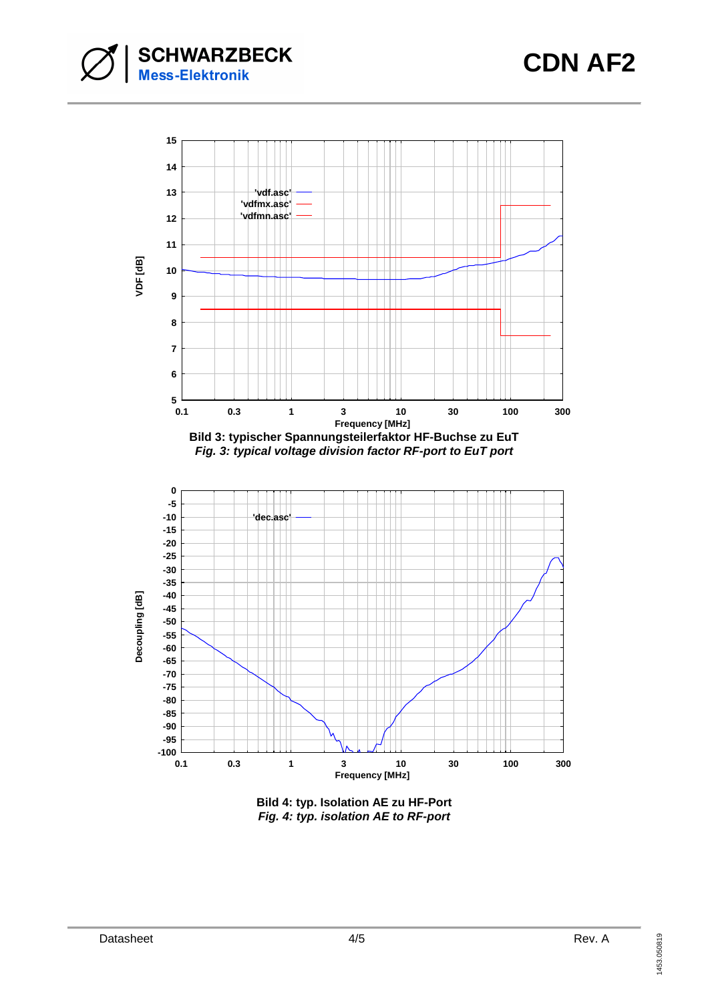



**Bild 4: typ. Isolation AE zu HF-Port Fig. 4: typ. isolation AE to RF-port**